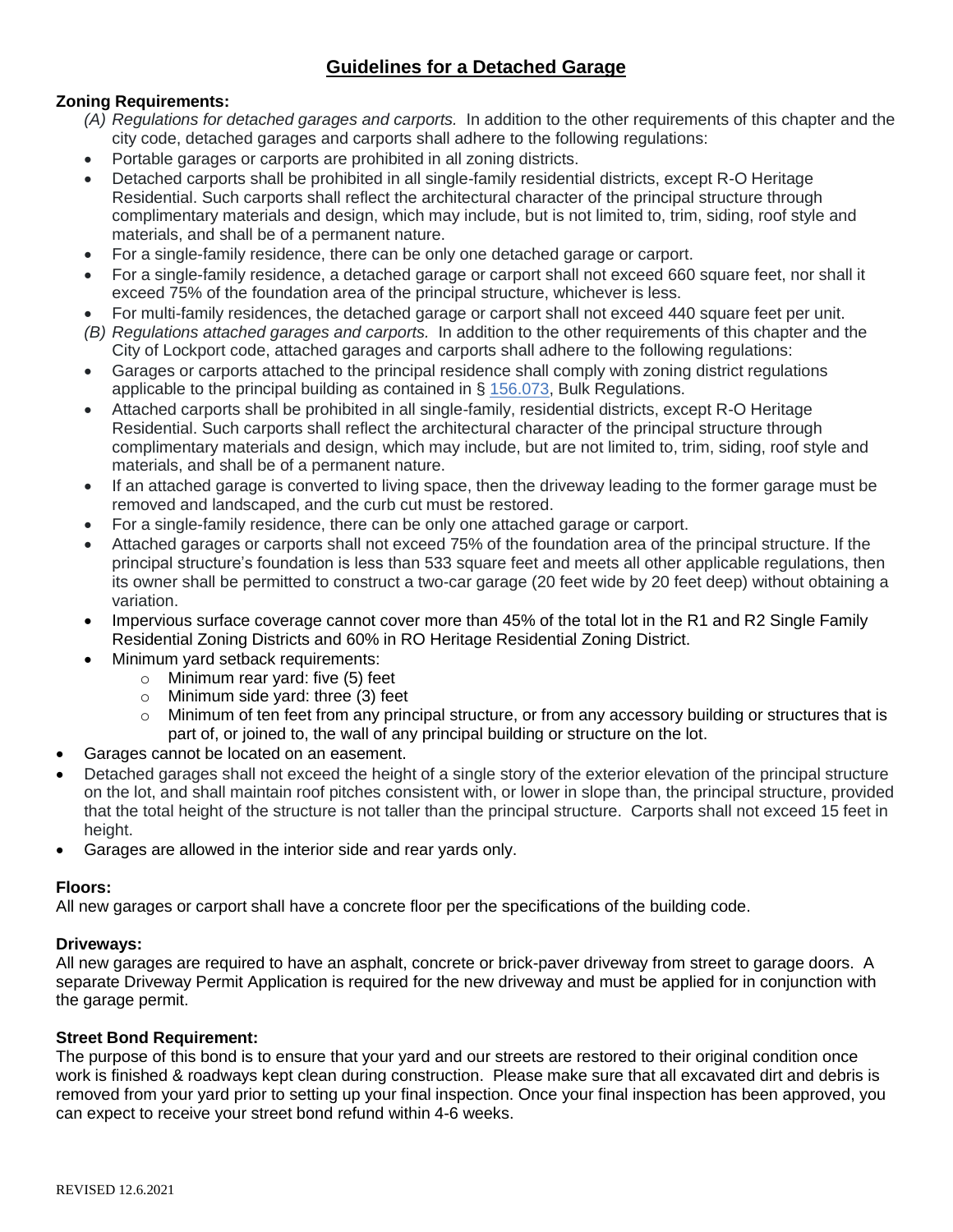## **Guidelines for a Detached Garage**

### **Zoning Requirements:**

- *(A) Regulations for detached garages and carports.* In addition to the other requirements of this chapter and the city code, detached garages and carports shall adhere to the following regulations:
- Portable garages or carports are prohibited in all zoning districts.
- Detached carports shall be prohibited in all single-family residential districts, except R-O Heritage Residential. Such carports shall reflect the architectural character of the principal structure through complimentary materials and design, which may include, but is not limited to, trim, siding, roof style and materials, and shall be of a permanent nature.
- For a single-family residence, there can be only one detached garage or carport.
- For a single-family residence, a detached garage or carport shall not exceed 660 square feet, nor shall it exceed 75% of the foundation area of the principal structure, whichever is less.
- For multi-family residences, the detached garage or carport shall not exceed 440 square feet per unit.
- *(B) Regulations attached garages and carports.* In addition to the other requirements of this chapter and the City of Lockport code, attached garages and carports shall adhere to the following regulations:
- Garages or carports attached to the principal residence shall comply with zoning district regulations applicable to the principal building as contained in § [156.073,](https://codelibrary.amlegal.com/codes/lockport/latest/lockport_il/0-0-0-83570#JD_156.073) Bulk Regulations.
- Attached carports shall be prohibited in all single-family, residential districts, except R-O Heritage Residential. Such carports shall reflect the architectural character of the principal structure through complimentary materials and design, which may include, but are not limited to, trim, siding, roof style and materials, and shall be of a permanent nature.
- If an attached garage is converted to living space, then the driveway leading to the former garage must be removed and landscaped, and the curb cut must be restored.
- For a single-family residence, there can be only one attached garage or carport.
- Attached garages or carports shall not exceed 75% of the foundation area of the principal structure. If the principal structure's foundation is less than 533 square feet and meets all other applicable regulations, then its owner shall be permitted to construct a two-car garage (20 feet wide by 20 feet deep) without obtaining a variation.
- Impervious surface coverage cannot cover more than 45% of the total lot in the R1 and R2 Single Family Residential Zoning Districts and 60% in RO Heritage Residential Zoning District.
- Minimum yard setback requirements:
	- o Minimum rear yard: five (5) feet
	- o Minimum side yard: three (3) feet
	- o Minimum of ten feet from any principal structure, or from any accessory building or structures that is part of, or joined to, the wall of any principal building or structure on the lot.
- Garages cannot be located on an easement.
- Detached garages shall not exceed the height of a single story of the exterior elevation of the principal structure on the lot, and shall maintain roof pitches consistent with, or lower in slope than, the principal structure, provided that the total height of the structure is not taller than the principal structure. Carports shall not exceed 15 feet in height.
- Garages are allowed in the interior side and rear yards only.

#### **Floors:**

All new garages or carport shall have a concrete floor per the specifications of the building code.

#### **Driveways:**

All new garages are required to have an asphalt, concrete or brick-paver driveway from street to garage doors. A separate Driveway Permit Application is required for the new driveway and must be applied for in conjunction with the garage permit.

#### **Street Bond Requirement:**

The purpose of this bond is to ensure that your yard and our streets are restored to their original condition once work is finished & roadways kept clean during construction. Please make sure that all excavated dirt and debris is removed from your yard prior to setting up your final inspection. Once your final inspection has been approved, you can expect to receive your street bond refund within 4-6 weeks.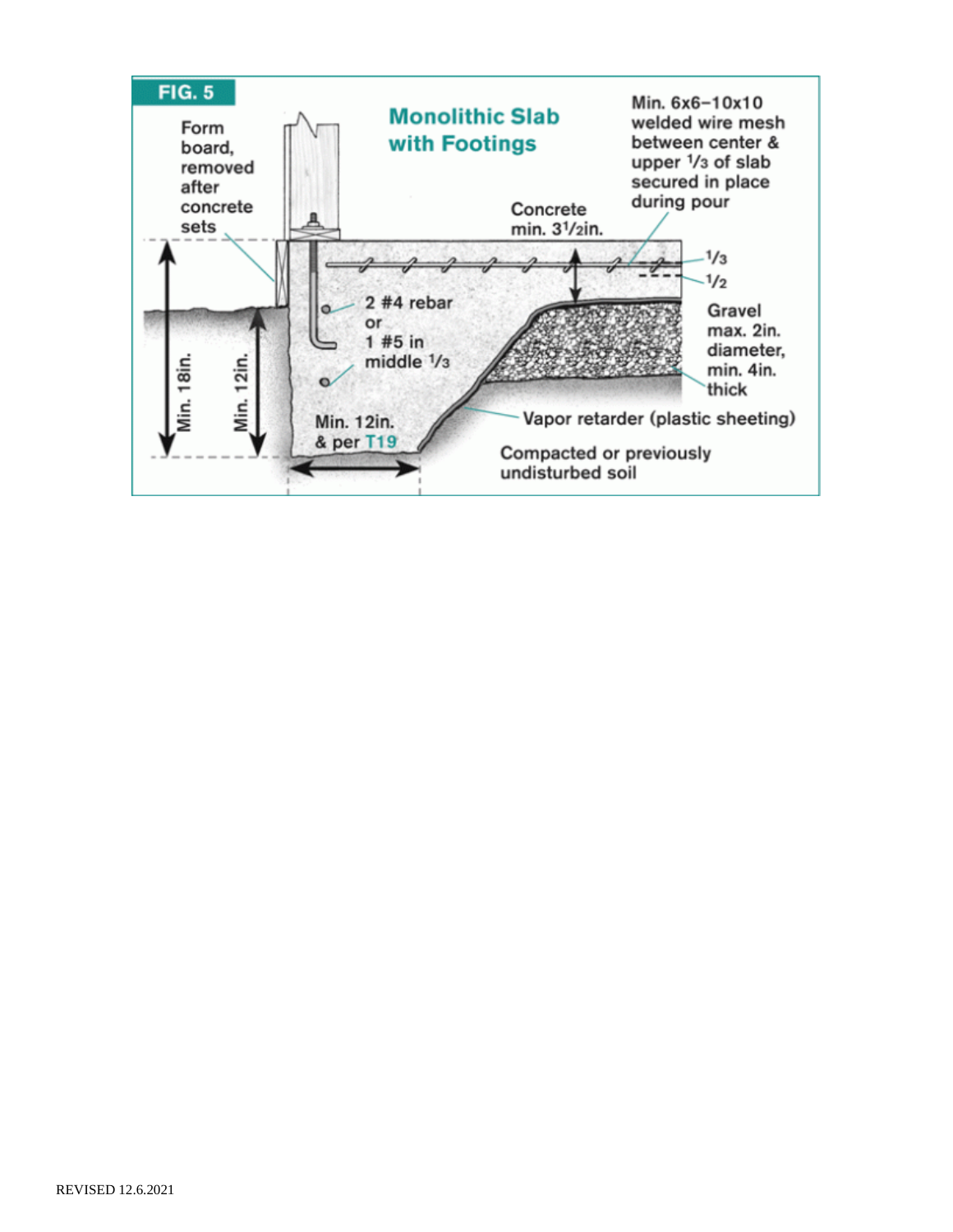